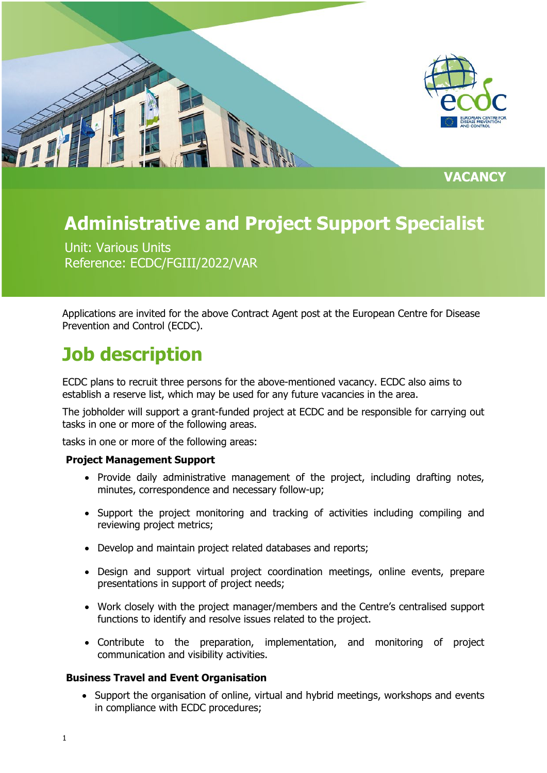

**VACANCY**

# **Administrative and Project Support Specialist**

Unit: Various Units Reference: ECDC/FGIII/2022/VAR

Applications are invited for the above Contract Agent post at the European Centre for Disease Prevention and Control (ECDC).

# **Job description**

ECDC plans to recruit three persons for the above-mentioned vacancy. ECDC also aims to establish a reserve list, which may be used for any future vacancies in the area.

The jobholder will support a grant-funded project at ECDC and be responsible for carrying out tasks in one or more of the following areas.

tasks in one or more of the following areas:

#### **Project Management Support**

- Provide daily administrative management of the project, including drafting notes, minutes, correspondence and necessary follow-up;
- Support the project monitoring and tracking of activities including compiling and reviewing project metrics;
- Develop and maintain project related databases and reports;
- Design and support virtual project coordination meetings, online events, prepare presentations in support of project needs;
- Work closely with the project manager/members and the Centre's centralised support functions to identify and resolve issues related to the project.
- Contribute to the preparation, implementation, and monitoring of project communication and visibility activities.

#### **Business Travel and Event Organisation**

• Support the organisation of online, virtual and hybrid meetings, workshops and events in compliance with ECDC procedures;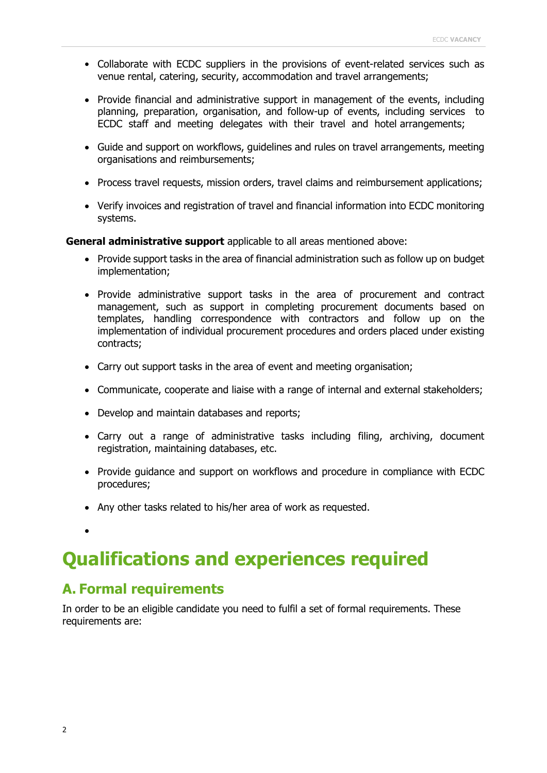- Collaborate with ECDC suppliers in the provisions of event-related services such as venue rental, catering, security, accommodation and travel arrangements;
- Provide financial and administrative support in management of the events, including planning, preparation, organisation, and follow-up of events, including services to ECDC staff and meeting delegates with their travel and hotel arrangements;
- Guide and support on workflows, guidelines and rules on travel arrangements, meeting organisations and reimbursements;
- Process travel requests, mission orders, travel claims and reimbursement applications;
- Verify invoices and registration of travel and financial information into ECDC monitoring systems.

**General administrative support** applicable to all areas mentioned above:

- Provide support tasks in the area of financial administration such as follow up on budget implementation;
- Provide administrative support tasks in the area of procurement and contract management, such as support in completing procurement documents based on templates, handling correspondence with contractors and follow up on the implementation of individual procurement procedures and orders placed under existing contracts;
- Carry out support tasks in the area of event and meeting organisation;
- Communicate, cooperate and liaise with a range of internal and external stakeholders;
- Develop and maintain databases and reports;
- Carry out a range of administrative tasks including filing, archiving, document registration, maintaining databases, etc.
- Provide guidance and support on workflows and procedure in compliance with ECDC procedures;
- Any other tasks related to his/her area of work as requested.
- •

### **Qualifications and experiences required**

### **A. Formal requirements**

In order to be an eligible candidate you need to fulfil a set of formal requirements. These requirements are: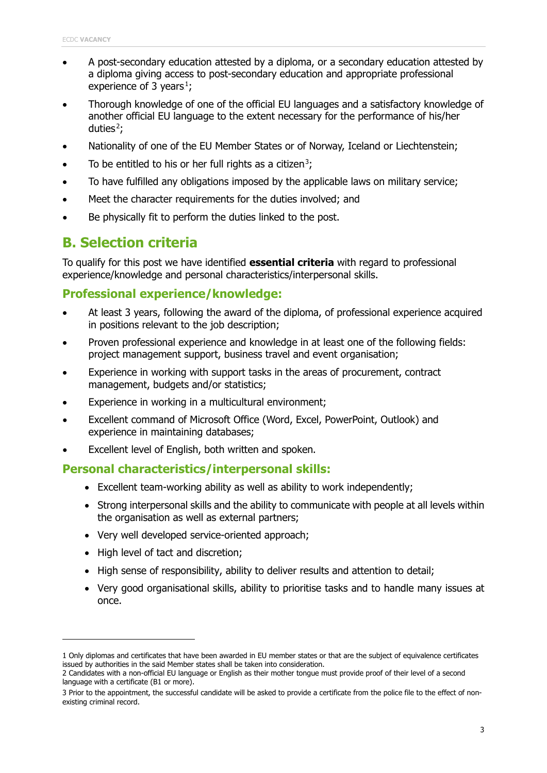- A post-secondary education attested by a diploma, or a secondary education attested by a diploma giving access to post-secondary education and appropriate professional experience of 3 years<sup>1</sup>;
- Thorough knowledge of one of the official EU languages and a satisfactory knowledge of another official EU language to the extent necessary for the performance of his/her duties $\zeta$ ;
- Nationality of one of the EU Member States or of Norway, Iceland or Liechtenstein;
- To be entitled to his or her full rights as a citizen<sup>3</sup>;
- To have fulfilled any obligations imposed by the applicable laws on military service;
- Meet the character requirements for the duties involved; and
- Be physically fit to perform the duties linked to the post.

### **B. Selection criteria**

To qualify for this post we have identified **essential criteria** with regard to professional experience/knowledge and personal characteristics/interpersonal skills.

### **Professional experience/knowledge:**

- At least 3 years, following the award of the diploma, of professional experience acquired in positions relevant to the job description;
- Proven professional experience and knowledge in at least one of the following fields: project management support, business travel and event organisation;
- Experience in working with support tasks in the areas of procurement, contract management, budgets and/or statistics;
- Experience in working in a multicultural environment;
- Excellent command of Microsoft Office (Word, Excel, PowerPoint, Outlook) and experience in maintaining databases;
- Excellent level of English, both written and spoken.

### **Personal characteristics/interpersonal skills:**

- Excellent team-working ability as well as ability to work independently;
- Strong interpersonal skills and the ability to communicate with people at all levels within the organisation as well as external partners;
- Very well developed service-oriented approach;
- High level of tact and discretion;
- High sense of responsibility, ability to deliver results and attention to detail;
- Very good organisational skills, ability to prioritise tasks and to handle many issues at once.

<sup>1</sup> Only diplomas and certificates that have been awarded in EU member states or that are the subject of equivalence certificates issued by authorities in the said Member states shall be taken into consideration.

<sup>2</sup> Candidates with a non-official EU language or English as their mother tongue must provide proof of their level of a second language with a certificate (B1 or more).

<sup>3</sup> Prior to the appointment, the successful candidate will be asked to provide a certificate from the police file to the effect of nonexisting criminal record.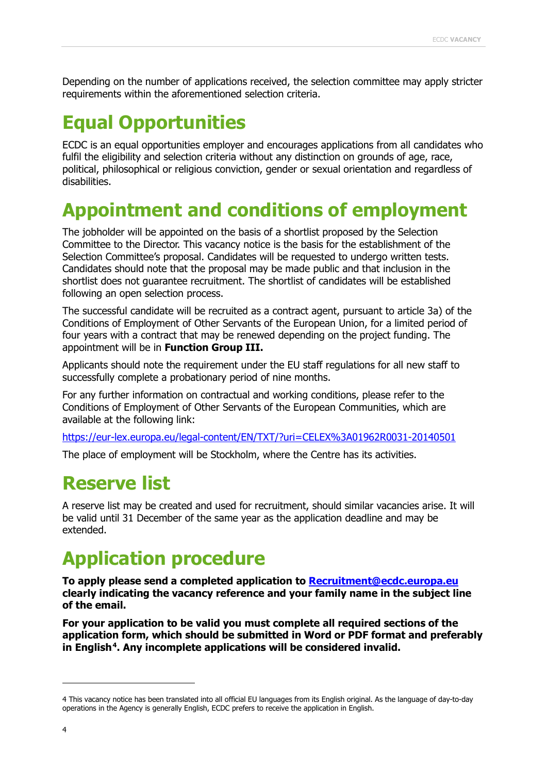Depending on the number of applications received, the selection committee may apply stricter requirements within the aforementioned selection criteria.

# **Equal Opportunities**

ECDC is an equal opportunities employer and encourages applications from all candidates who fulfil the eligibility and selection criteria without any distinction on grounds of age, race, political, philosophical or religious conviction, gender or sexual orientation and regardless of disabilities.

# **Appointment and conditions of employment**

The jobholder will be appointed on the basis of a shortlist proposed by the Selection Committee to the Director. This vacancy notice is the basis for the establishment of the Selection Committee's proposal. Candidates will be requested to undergo written tests. Candidates should note that the proposal may be made public and that inclusion in the shortlist does not guarantee recruitment. The shortlist of candidates will be established following an open selection process.

The successful candidate will be recruited as a contract agent, pursuant to article 3a) of the Conditions of Employment of Other Servants of the European Union, for a limited period of four years with a contract that may be renewed depending on the project funding. The appointment will be in **Function Group III.**

Applicants should note the requirement under the EU staff regulations for all new staff to successfully complete a probationary period of nine months.

For any further information on contractual and working conditions, please refer to the Conditions of Employment of Other Servants of the European Communities, which are available at the following link:

<https://eur-lex.europa.eu/legal-content/EN/TXT/?uri=CELEX%3A01962R0031-20140501>

The place of employment will be Stockholm, where the Centre has its activities.

### **Reserve list**

A reserve list may be created and used for recruitment, should similar vacancies arise. It will be valid until 31 December of the same year as the application deadline and may be extended.

# **Application procedure**

**To apply please send a completed application to [Recruitment@ecdc.europa.eu](mailto:Recruitment@ecdc.europa.eu) clearly indicating the vacancy reference and your family name in the subject line of the email.**

**For your application to be valid you must complete all required sections of the application form, which should be submitted in Word or PDF format and preferably**  in English<sup>4</sup>. Any incomplete applications will be considered invalid.

<sup>4</sup> This vacancy notice has been translated into all official EU languages from its English original. As the language of day-to-day operations in the Agency is generally English, ECDC prefers to receive the application in English.